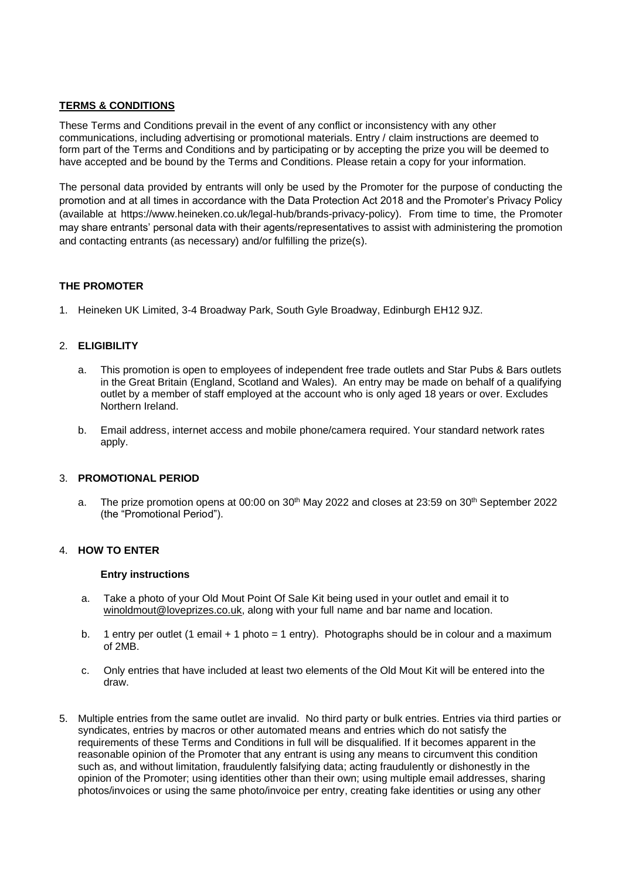# **TERMS & CONDITIONS**

These Terms and Conditions prevail in the event of any conflict or inconsistency with any other communications, including advertising or promotional materials. Entry / claim instructions are deemed to form part of the Terms and Conditions and by participating or by accepting the prize you will be deemed to have accepted and be bound by the Terms and Conditions. Please retain a copy for your information.

The personal data provided by entrants will only be used by the Promoter for the purpose of conducting the promotion and at all times in accordance with the Data Protection Act 2018 and the Promoter's Privacy Policy (available at [https://www.heineken.co.uk/legal-hub/brands-privacy-policy\)](https://eur03.safelinks.protection.outlook.com/?url=https%3A%2F%2Fwww.heineken.co.uk%2Flegal-hub%2Fbrands-privacy-policy&data=04%7C01%7Celaine.weatherhead%40heineken.co.uk%7Cec499bf6f19b48f22d4e08da19431c0d%7C66e853deece344dd9d66ee6bdf4159d4%7C0%7C0%7C637850073999817262%7CUnknown%7CTWFpbGZsb3d8eyJWIjoiMC4wLjAwMDAiLCJQIjoiV2luMzIiLCJBTiI6Ik1haWwiLCJXVCI6Mn0%3D%7C3000&sdata=yC5%2FWq5TC%2BIRs45zmbp%2FPHiUDGXDswqNKB1mDyeF3ak%3D&reserved=0). From time to time, the Promoter may share entrants' personal data with their agents/representatives to assist with administering the promotion and contacting entrants (as necessary) and/or fulfilling the prize(s).

## **THE PROMOTER**

1. Heineken UK Limited, 3-4 Broadway Park, South Gyle Broadway, Edinburgh EH12 9JZ.

# 2. **ELIGIBILITY**

- a. This promotion is open to employees of independent free trade outlets and Star Pubs & Bars outlets in the Great Britain (England, Scotland and Wales). An entry may be made on behalf of a qualifying outlet by a member of staff employed at the account who is only aged 18 years or over. Excludes Northern Ireland.
- b. Email address, internet access and mobile phone/camera required. Your standard network rates apply.

## 3. **PROMOTIONAL PERIOD**

a. The prize promotion opens at 00:00 on  $30<sup>th</sup>$  May 2022 and closes at 23:59 on  $30<sup>th</sup>$  September 2022 (the "Promotional Period").

## 4. **HOW TO ENTER**

#### **Entry instructions**

- a. Take a photo of your Old Mout Point Of Sale Kit being used in your outlet and email it to [winoldmout@loveprizes.co.uk,](mailto:winoldmout@loveprizes.co.uk) along with your full name and bar name and location.
- b. 1 entry per outlet (1 email + 1 photo = 1 entry). Photographs should be in colour and a maximum of 2MB.
- c. Only entries that have included at least two elements of the Old Mout Kit will be entered into the draw.
- 5. Multiple entries from the same outlet are invalid. No third party or bulk entries. Entries via third parties or syndicates, entries by macros or other automated means and entries which do not satisfy the requirements of these Terms and Conditions in full will be disqualified. If it becomes apparent in the reasonable opinion of the Promoter that any entrant is using any means to circumvent this condition such as, and without limitation, fraudulently falsifying data; acting fraudulently or dishonestly in the opinion of the Promoter; using identities other than their own; using multiple email addresses, sharing photos/invoices or using the same photo/invoice per entry, creating fake identities or using any other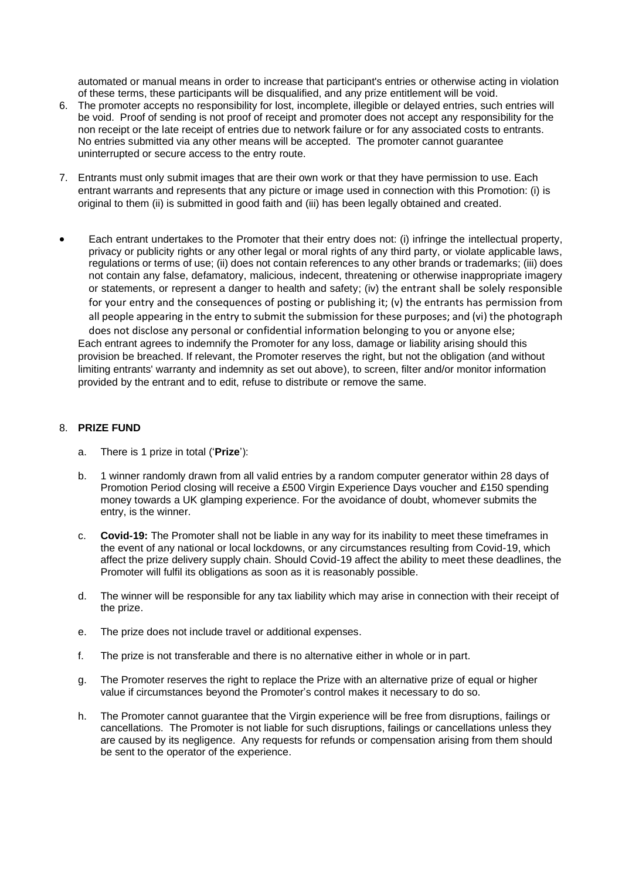automated or manual means in order to increase that participant's entries or otherwise acting in violation of these terms, these participants will be disqualified, and any prize entitlement will be void.

- 6. The promoter accepts no responsibility for lost, incomplete, illegible or delayed entries, such entries will be void. Proof of sending is not proof of receipt and promoter does not accept any responsibility for the non receipt or the late receipt of entries due to network failure or for any associated costs to entrants. No entries submitted via any other means will be accepted. The promoter cannot guarantee uninterrupted or secure access to the entry route.
- 7. Entrants must only submit images that are their own work or that they have permission to use. Each entrant warrants and represents that any picture or image used in connection with this Promotion: (i) is original to them (ii) is submitted in good faith and (iii) has been legally obtained and created.
- Each entrant undertakes to the Promoter that their entry does not: (i) infringe the intellectual property, privacy or publicity rights or any other legal or moral rights of any third party, or violate applicable laws, regulations or terms of use; (ii) does not contain references to any other brands or trademarks; (iii) does not contain any false, defamatory, malicious, indecent, threatening or otherwise inappropriate imagery or statements, or represent a danger to health and safety; (iv) the entrant shall be solely responsible for your entry and the consequences of posting or publishing it; (v) the entrants has permission from all people appearing in the entry to submit the submission for these purposes; and (vi) the photograph does not disclose any personal or confidential information belonging to you or anyone else; Each entrant agrees to indemnify the Promoter for any loss, damage or liability arising should this provision be breached. If relevant, the Promoter reserves the right, but not the obligation (and without limiting entrants' warranty and indemnity as set out above), to screen, filter and/or monitor information

provided by the entrant and to edit, refuse to distribute or remove the same.

## 8. **PRIZE FUND**

- a. There is 1 prize in total ('**Prize**'):
- b. 1 winner randomly drawn from all valid entries by a random computer generator within 28 days of Promotion Period closing will receive a £500 Virgin Experience Days voucher and £150 spending money towards a UK glamping experience. For the avoidance of doubt, whomever submits the entry, is the winner.
- c. **Covid-19:** The Promoter shall not be liable in any way for its inability to meet these timeframes in the event of any national or local lockdowns, or any circumstances resulting from Covid-19, which affect the prize delivery supply chain. Should Covid-19 affect the ability to meet these deadlines, the Promoter will fulfil its obligations as soon as it is reasonably possible.
- d. The winner will be responsible for any tax liability which may arise in connection with their receipt of the prize.
- e. The prize does not include travel or additional expenses.
- f. The prize is not transferable and there is no alternative either in whole or in part.
- g. The Promoter reserves the right to replace the Prize with an alternative prize of equal or higher value if circumstances beyond the Promoter's control makes it necessary to do so.
- h. The Promoter cannot guarantee that the Virgin experience will be free from disruptions, failings or cancellations. The Promoter is not liable for such disruptions, failings or cancellations unless they are caused by its negligence. Any requests for refunds or compensation arising from them should be sent to the operator of the experience.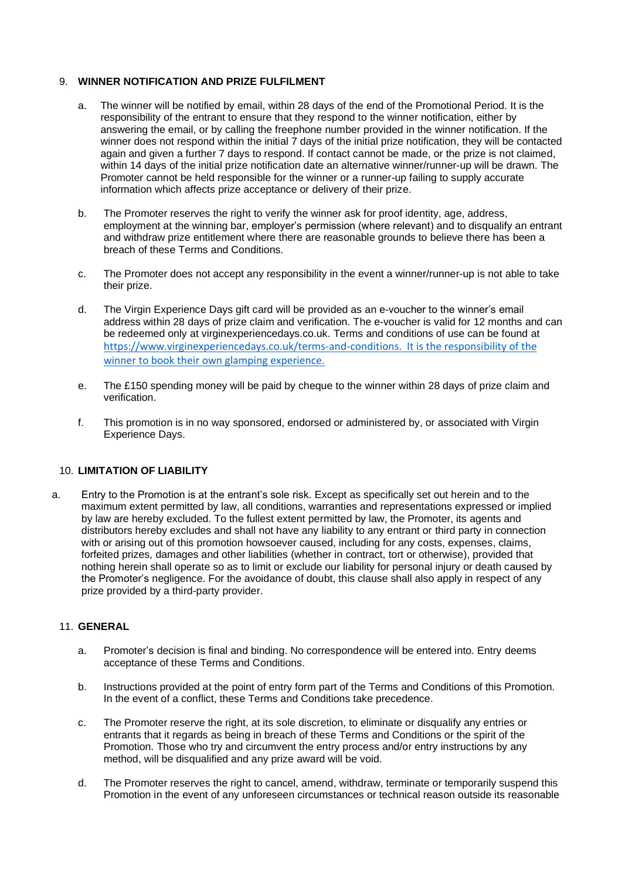## 9. **WINNER NOTIFICATION AND PRIZE FULFILMENT**

- a. The winner will be notified by email, within 28 days of the end of the Promotional Period. It is the responsibility of the entrant to ensure that they respond to the winner notification, either by answering the email, or by calling the freephone number provided in the winner notification. If the winner does not respond within the initial 7 days of the initial prize notification, they will be contacted again and given a further 7 days to respond. If contact cannot be made, or the prize is not claimed, within 14 days of the initial prize notification date an alternative winner/runner-up will be drawn. The Promoter cannot be held responsible for the winner or a runner-up failing to supply accurate information which affects prize acceptance or delivery of their prize.
- b. The Promoter reserves the right to verify the winner ask for proof identity, age, address, employment at the winning bar, employer's permission (where relevant) and to disqualify an entrant and withdraw prize entitlement where there are reasonable grounds to believe there has been a breach of these Terms and Conditions.
- c. The Promoter does not accept any responsibility in the event a winner/runner-up is not able to take their prize.
- d. The Virgin Experience Days gift card will be provided as an e-voucher to the winner's email address within 28 days of prize claim and verification. The e-voucher is valid for 12 months and can be redeemed only at virginexperiencedays.co.uk. Terms and conditions of use can be found at [https://www.virginexperiencedays.co.uk/terms-and-conditions.](https://eur03.safelinks.protection.outlook.com/?url=https%3A%2F%2Fwww.virginexperiencedays.co.uk%2Fterms-and-conditions&data=05%7C01%7Celaine.weatherhead%40heineken.co.uk%7C4160f612441e4805ecc308da2df32244%7C66e853deece344dd9d66ee6bdf4159d4%7C0%7C0%7C637872819529417918%7CUnknown%7CTWFpbGZsb3d8eyJWIjoiMC4wLjAwMDAiLCJQIjoiV2luMzIiLCJBTiI6Ik1haWwiLCJXVCI6Mn0%3D%7C3000%7C%7C%7C&sdata=vEutbZbpyKQaYVmnKoGcUIPap5TcBNLp83v6gclqSZo%3D&reserved=0) It is the responsibility of the winner to book their own glamping experience.
- e. The £150 spending money will be paid by cheque to the winner within 28 days of prize claim and verification.
- f. This promotion is in no way sponsored, endorsed or administered by, or associated with Virgin Experience Days.

## 10. **LIMITATION OF LIABILITY**

a. Entry to the Promotion is at the entrant's sole risk. Except as specifically set out herein and to the maximum extent permitted by law, all conditions, warranties and representations expressed or implied by law are hereby excluded. To the fullest extent permitted by law, the Promoter, its agents and distributors hereby excludes and shall not have any liability to any entrant or third party in connection with or arising out of this promotion howsoever caused, including for any costs, expenses, claims, forfeited prizes, damages and other liabilities (whether in contract, tort or otherwise), provided that nothing herein shall operate so as to limit or exclude our liability for personal injury or death caused by the Promoter's negligence. For the avoidance of doubt, this clause shall also apply in respect of any prize provided by a third-party provider.

### 11. **GENERAL**

- a. Promoter's decision is final and binding. No correspondence will be entered into. Entry deems acceptance of these Terms and Conditions.
- b. Instructions provided at the point of entry form part of the Terms and Conditions of this Promotion. In the event of a conflict, these Terms and Conditions take precedence.
- c. The Promoter reserve the right, at its sole discretion, to eliminate or disqualify any entries or entrants that it regards as being in breach of these Terms and Conditions or the spirit of the Promotion. Those who try and circumvent the entry process and/or entry instructions by any method, will be disqualified and any prize award will be void.
- d. The Promoter reserves the right to cancel, amend, withdraw, terminate or temporarily suspend this Promotion in the event of any unforeseen circumstances or technical reason outside its reasonable